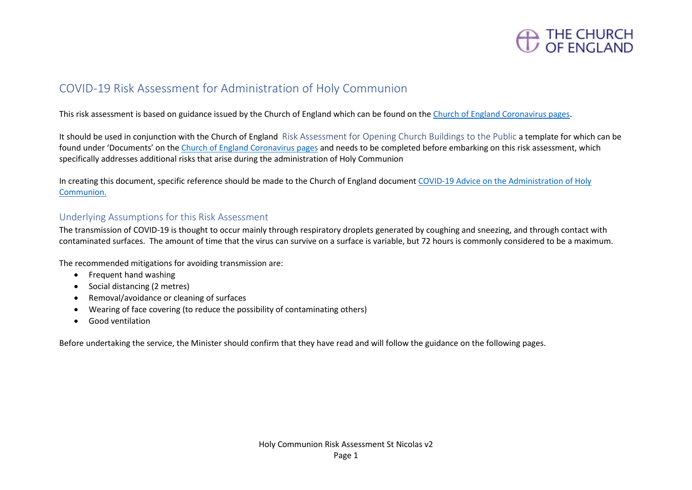

## COVID-19 Risk Assessment for Administration of Holy Communion

This risk assessment is based on guidance issued by the Church of England which can be found on the [Church of England Coronavirus pages.](https://www.churchofengland.org/more/media-centre/coronavirus-covid-19-guidance-churches)

It should be used in conjunction with the Church of England Risk Assessment for Opening Church Buildings to the Public a template for which can be found under 'Documents' on th[e Church of England Coronavirus pages](https://www.churchofengland.org/more/media-centre/coronavirus-covid-19-guidance-churches) and needs to be completed before embarking on this risk assessment, which specifically addresses additional risks that arise during the administration of Holy Communion

In creating this document, specific reference should be made to the Church of England document [COVID-19 Advice on the Administration of Holy](https://mcusercontent.com/14501d5eebc3e98fa3015a290/files/4749c383-5f08-434a-8fbd-beabdcb1d189/Coronavirus_Advice_on_the_Administration_of_Holy_Communion_v3.0.pdf)  [Communion.](https://mcusercontent.com/14501d5eebc3e98fa3015a290/files/4749c383-5f08-434a-8fbd-beabdcb1d189/Coronavirus_Advice_on_the_Administration_of_Holy_Communion_v3.0.pdf)

### Underlying Assumptions for this Risk Assessment

The transmission of COVID-19 is thought to occur mainly through respiratory droplets generated by coughing and sneezing, and through contact with contaminated surfaces. The amount of time that the virus can survive on a surface is variable, but 72 hours is commonly considered to be a maximum.

The recommended mitigations for avoiding transmission are:

- Frequent hand washing
- Social distancing (2 metres)
- Removal/avoidance or cleaning of surfaces
- Wearing of face covering (to reduce the possibility of contaminating others)
- Good ventilation

Before undertaking the service, the Minister should confirm that they have read and will follow the guidance on the following pages.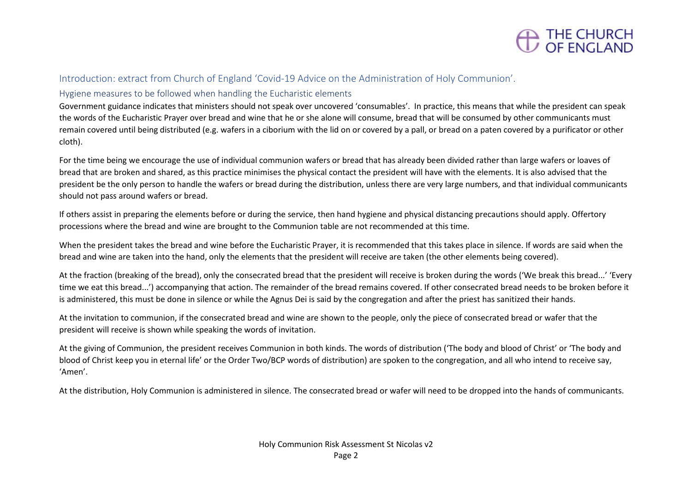

#### Introduction: extract from Church of England 'Covid-19 Advice on the Administration of Holy Communion'.

#### Hygiene measures to be followed when handling the Eucharistic elements

Government guidance indicates that ministers should not speak over uncovered 'consumables'. In practice, this means that while the president can speak the words of the Eucharistic Prayer over bread and wine that he or she alone will consume, bread that will be consumed by other communicants must remain covered until being distributed (e.g. wafers in a ciborium with the lid on or covered by a pall, or bread on a paten covered by a purificator or other cloth).

For the time being we encourage the use of individual communion wafers or bread that has already been divided rather than large wafers or loaves of bread that are broken and shared, as this practice minimises the physical contact the president will have with the elements. It is also advised that the president be the only person to handle the wafers or bread during the distribution, unless there are very large numbers, and that individual communicants should not pass around wafers or bread.

If others assist in preparing the elements before or during the service, then hand hygiene and physical distancing precautions should apply. Offertory processions where the bread and wine are brought to the Communion table are not recommended at this time.

When the president takes the bread and wine before the Eucharistic Prayer, it is recommended that this takes place in silence. If words are said when the bread and wine are taken into the hand, only the elements that the president will receive are taken (the other elements being covered).

At the fraction (breaking of the bread), only the consecrated bread that the president will receive is broken during the words ('We break this bread...' 'Every time we eat this bread...') accompanying that action. The remainder of the bread remains covered. If other consecrated bread needs to be broken before it is administered, this must be done in silence or while the Agnus Dei is said by the congregation and after the priest has sanitized their hands.

At the invitation to communion, if the consecrated bread and wine are shown to the people, only the piece of consecrated bread or wafer that the president will receive is shown while speaking the words of invitation.

At the giving of Communion, the president receives Communion in both kinds. The words of distribution ('The body and blood of Christ' or 'The body and blood of Christ keep you in eternal life' or the Order Two/BCP words of distribution) are spoken to the congregation, and all who intend to receive say, 'Amen'.

At the distribution, Holy Communion is administered in silence. The consecrated bread or wafer will need to be dropped into the hands of communicants.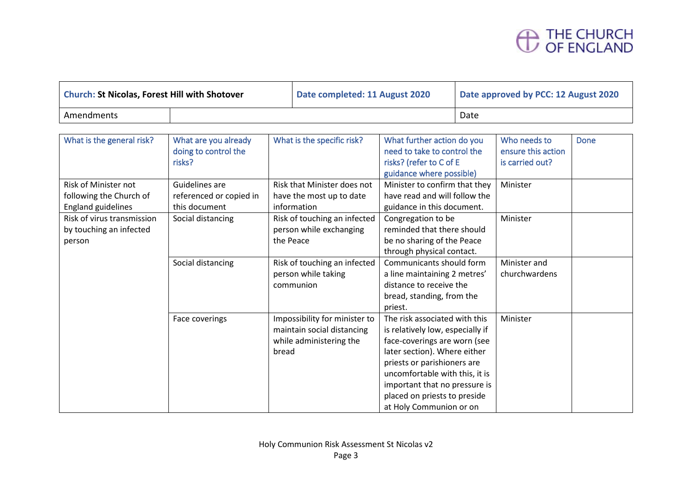# THE CHURCH<br>OF ENGLAND

| <b>Church: St Nicolas, Forest Hill with Shotover</b> |  | Date completed: 11 August 2020 | Date approved by PCC: 12 August 2020 |  |  |
|------------------------------------------------------|--|--------------------------------|--------------------------------------|--|--|
| Amendments                                           |  |                                | Date                                 |  |  |

| What is the general risk?  | What are you already    | What is the specific risk?    | What further action do you       | Who needs to       | Done |
|----------------------------|-------------------------|-------------------------------|----------------------------------|--------------------|------|
|                            | doing to control the    |                               | need to take to control the      | ensure this action |      |
|                            | risks?                  |                               | risks? (refer to C of E          | is carried out?    |      |
|                            |                         |                               | guidance where possible)         |                    |      |
| Risk of Minister not       | Guidelines are          | Risk that Minister does not   | Minister to confirm that they    | Minister           |      |
| following the Church of    | referenced or copied in | have the most up to date      | have read and will follow the    |                    |      |
| <b>England guidelines</b>  | this document           | information                   | guidance in this document.       |                    |      |
| Risk of virus transmission | Social distancing       | Risk of touching an infected  | Congregation to be               | Minister           |      |
| by touching an infected    |                         | person while exchanging       | reminded that there should       |                    |      |
| person                     |                         | the Peace                     | be no sharing of the Peace       |                    |      |
|                            |                         |                               | through physical contact.        |                    |      |
|                            | Social distancing       | Risk of touching an infected  | Communicants should form         | Minister and       |      |
|                            |                         | person while taking           | a line maintaining 2 metres'     | churchwardens      |      |
|                            |                         | communion                     | distance to receive the          |                    |      |
|                            |                         |                               | bread, standing, from the        |                    |      |
|                            |                         |                               | priest.                          |                    |      |
|                            | Face coverings          | Impossibility for minister to | The risk associated with this    | Minister           |      |
|                            |                         | maintain social distancing    | is relatively low, especially if |                    |      |
|                            |                         | while administering the       | face-coverings are worn (see     |                    |      |
|                            |                         | bread                         | later section). Where either     |                    |      |
|                            |                         |                               | priests or parishioners are      |                    |      |
|                            |                         |                               | uncomfortable with this, it is   |                    |      |
|                            |                         |                               | important that no pressure is    |                    |      |
|                            |                         |                               | placed on priests to preside     |                    |      |
|                            |                         |                               | at Holy Communion or on          |                    |      |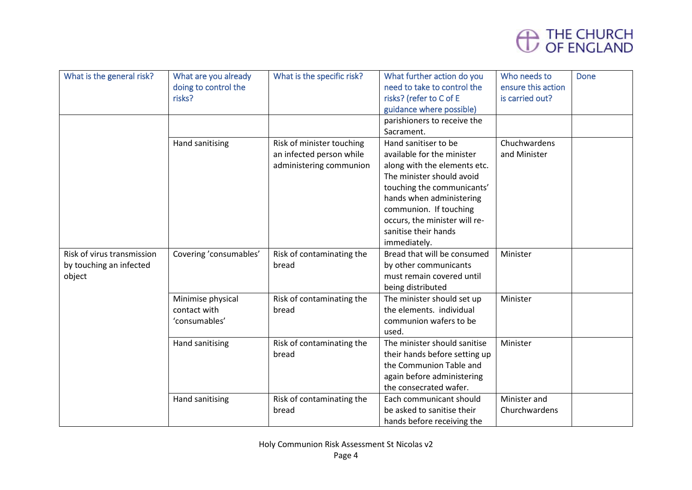

| What is the general risk?  | What are you already<br>doing to control the<br>risks? | What is the specific risk?                                                       | What further action do you<br>need to take to control the<br>risks? (refer to C of E<br>guidance where possible)<br>parishioners to receive the                                                                                                                              | Who needs to<br>ensure this action<br>is carried out? | <b>Done</b> |
|----------------------------|--------------------------------------------------------|----------------------------------------------------------------------------------|------------------------------------------------------------------------------------------------------------------------------------------------------------------------------------------------------------------------------------------------------------------------------|-------------------------------------------------------|-------------|
|                            |                                                        |                                                                                  | Sacrament.                                                                                                                                                                                                                                                                   |                                                       |             |
|                            | Hand sanitising                                        | Risk of minister touching<br>an infected person while<br>administering communion | Hand sanitiser to be<br>available for the minister<br>along with the elements etc.<br>The minister should avoid<br>touching the communicants'<br>hands when administering<br>communion. If touching<br>occurs, the minister will re-<br>sanitise their hands<br>immediately. | Chuchwardens<br>and Minister                          |             |
| Risk of virus transmission | Covering 'consumables'                                 | Risk of contaminating the                                                        | Bread that will be consumed                                                                                                                                                                                                                                                  | Minister                                              |             |
| by touching an infected    |                                                        | bread                                                                            | by other communicants                                                                                                                                                                                                                                                        |                                                       |             |
| object                     |                                                        |                                                                                  | must remain covered until                                                                                                                                                                                                                                                    |                                                       |             |
|                            |                                                        |                                                                                  | being distributed                                                                                                                                                                                                                                                            |                                                       |             |
|                            | Minimise physical<br>contact with<br>'consumables'     | Risk of contaminating the<br>bread                                               | The minister should set up<br>the elements. individual<br>communion wafers to be<br>used.                                                                                                                                                                                    | Minister                                              |             |
|                            | Hand sanitising                                        | Risk of contaminating the<br>bread                                               | The minister should sanitise<br>their hands before setting up<br>the Communion Table and<br>again before administering<br>the consecrated wafer.                                                                                                                             | Minister                                              |             |
|                            | Hand sanitising                                        | Risk of contaminating the<br>bread                                               | Each communicant should<br>be asked to sanitise their<br>hands before receiving the                                                                                                                                                                                          | Minister and<br>Churchwardens                         |             |